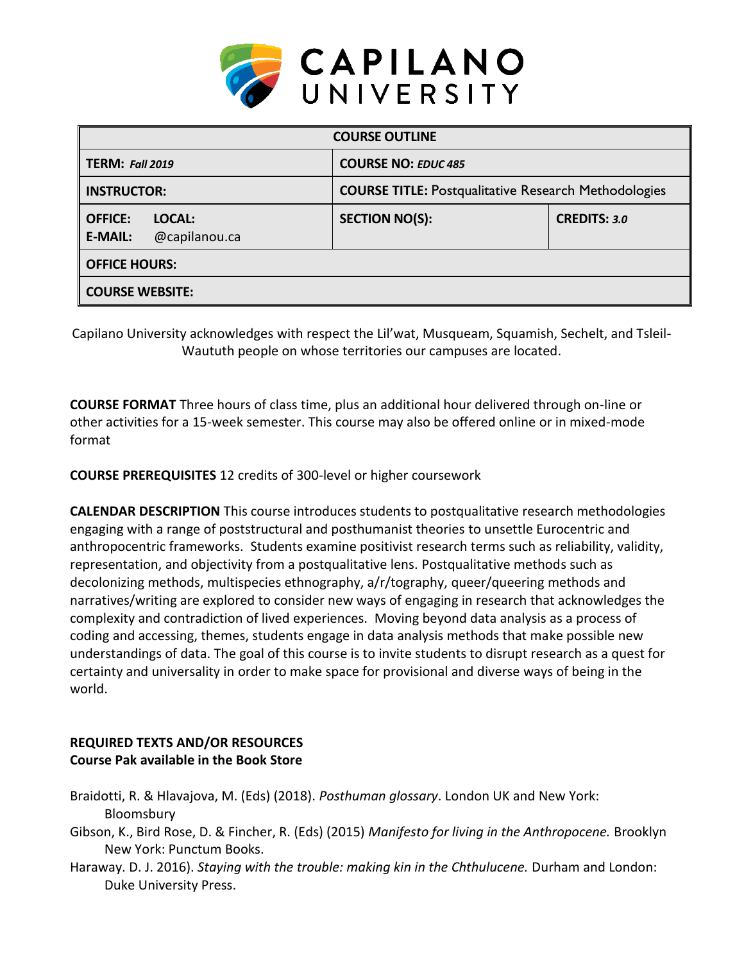

| <b>COURSE OUTLINE</b>                                       |                                                             |                     |  |  |  |
|-------------------------------------------------------------|-------------------------------------------------------------|---------------------|--|--|--|
| <b>TERM: Fall 2019</b>                                      | <b>COURSE NO: EDUC 485</b>                                  |                     |  |  |  |
| <b>INSTRUCTOR:</b>                                          | <b>COURSE TITLE: Postqualitative Research Methodologies</b> |                     |  |  |  |
| <b>OFFICE:</b><br>LOCAL:<br>@capilanou.ca<br><b>E-MAIL:</b> | <b>SECTION NO(S):</b>                                       | <b>CREDITS: 3.0</b> |  |  |  |
| <b>OFFICE HOURS:</b>                                        |                                                             |                     |  |  |  |
| <b>COURSE WEBSITE:</b>                                      |                                                             |                     |  |  |  |

Capilano University acknowledges with respect the Lil'wat, Musqueam, Squamish, Sechelt, and Tsleil-Waututh people on whose territories our campuses are located.

**COURSE FORMAT** Three hours of class time, plus an additional hour delivered through on-line or other activities for a 15-week semester. This course may also be offered online or in mixed-mode format

**COURSE PREREQUISITES** 12 credits of 300-level or higher coursework

**CALENDAR DESCRIPTION** This course introduces students to postqualitative research methodologies engaging with a range of poststructural and posthumanist theories to unsettle Eurocentric and anthropocentric frameworks. Students examine positivist research terms such as reliability, validity, representation, and objectivity from a postqualitative lens. Postqualitative methods such as decolonizing methods, multispecies ethnography, a/r/tography, queer/queering methods and narratives/writing are explored to consider new ways of engaging in research that acknowledges the complexity and contradiction of lived experiences. Moving beyond data analysis as a process of coding and accessing, themes, students engage in data analysis methods that make possible new understandings of data. The goal of this course is to invite students to disrupt research as a quest for certainty and universality in order to make space for provisional and diverse ways of being in the world.

# **REQUIRED TEXTS AND/OR RESOURCES Course Pak available in the Book Store**

- Braidotti, R. & Hlavajova, M. (Eds) (2018). *Posthuman glossary*. London UK and New York: Bloomsbury
- Gibson, K., Bird Rose, D. & Fincher, R. (Eds) (2015) *Manifesto for living in the Anthropocene.* Brooklyn New York: Punctum Books.
- Haraway. D. J. 2016). *Staying with the trouble: making kin in the Chthulucene.* Durham and London: Duke University Press.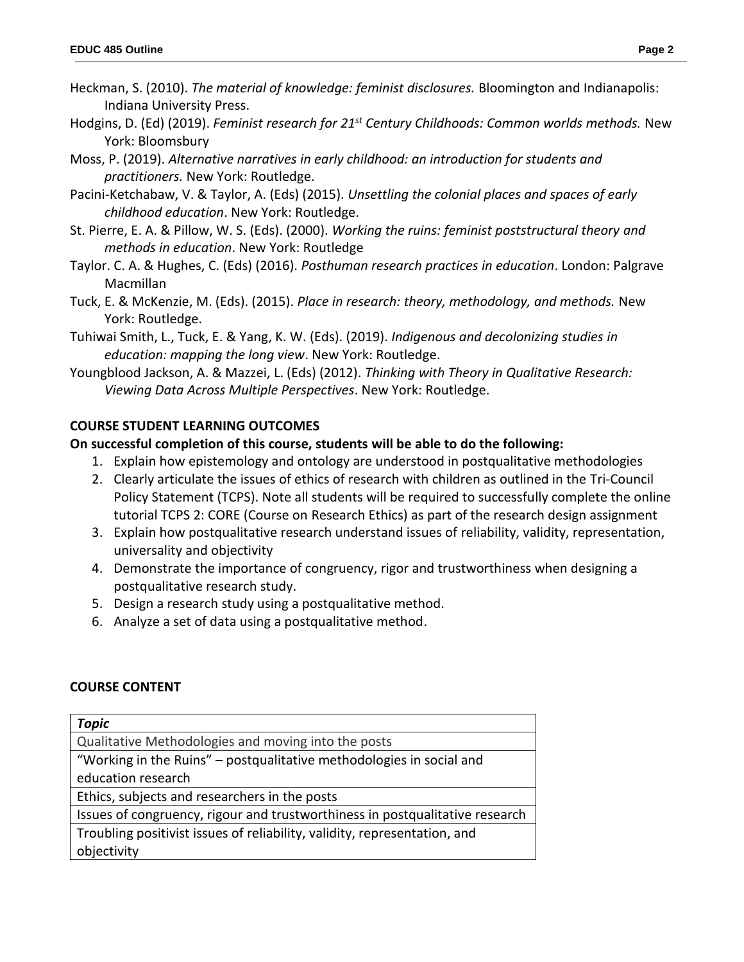- Heckman, S. (2010). *The material of knowledge: feminist disclosures.* Bloomington and Indianapolis: Indiana University Press.
- Hodgins, D. (Ed) (2019). *Feminist research for 21st Century Childhoods: Common worlds methods.* New York: Bloomsbury
- Moss, P. (2019). *Alternative narratives in early childhood: an introduction for students and practitioners.* New York: Routledge.
- Pacini-Ketchabaw, V. & Taylor, A. (Eds) (2015). *Unsettling the colonial places and spaces of early childhood education*. New York: Routledge.
- St. Pierre, E. A. & Pillow, W. S. (Eds). (2000). *Working the ruins: feminist poststructural theory and methods in education*. New York: Routledge
- Taylor. C. A. & Hughes, C. (Eds) (2016). *Posthuman research practices in education*. London: Palgrave Macmillan
- Tuck, E. & McKenzie, M. (Eds). (2015). *Place in research: theory, methodology, and methods.* New York: Routledge.
- Tuhiwai Smith, L., Tuck, E. & Yang, K. W. (Eds). (2019). *Indigenous and decolonizing studies in education: mapping the long view*. New York: Routledge.
- Youngblood Jackson, A. & Mazzei, L. (Eds) (2012). *Thinking with Theory in Qualitative Research: Viewing Data Across Multiple Perspectives*. New York: Routledge.

### **COURSE STUDENT LEARNING OUTCOMES**

### **On successful completion of this course, students will be able to do the following:**

- 1. Explain how epistemology and ontology are understood in postqualitative methodologies
- 2. Clearly articulate the issues of ethics of research with children as outlined in the Tri-Council Policy Statement (TCPS). Note all students will be required to successfully complete the online tutorial TCPS 2: CORE (Course on Research Ethics) as part of the research design assignment
- 3. Explain how postqualitative research understand issues of reliability, validity, representation, universality and objectivity
- 4. Demonstrate the importance of congruency, rigor and trustworthiness when designing a postqualitative research study.
- 5. Design a research study using a postqualitative method.
- 6. Analyze a set of data using a postqualitative method.

## **COURSE CONTENT**

| <b>Topic</b>                                                                 |
|------------------------------------------------------------------------------|
| Qualitative Methodologies and moving into the posts                          |
| "Working in the Ruins" - postqualitative methodologies in social and         |
| education research                                                           |
| Ethics, subjects and researchers in the posts                                |
| Issues of congruency, rigour and trustworthiness in postqualitative research |
| Troubling positivist issues of reliability, validity, representation, and    |
| objectivity                                                                  |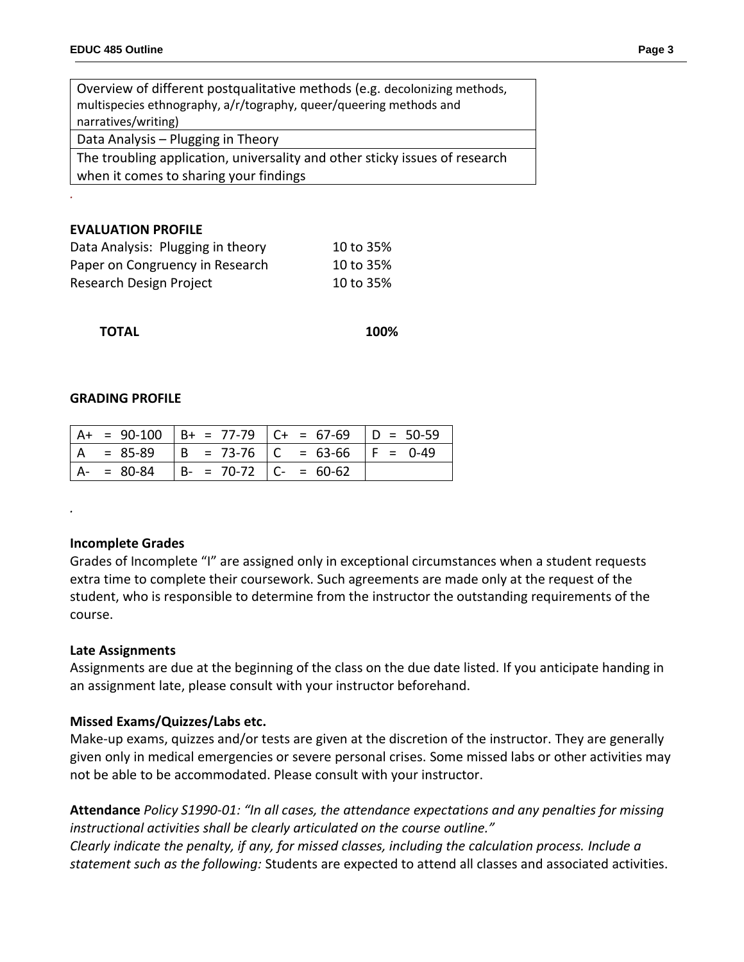| Overview of different postqualitative methods (e.g. decolonizing methods,   |  |  |  |
|-----------------------------------------------------------------------------|--|--|--|
| multispecies ethnography, a/r/tography, queer/queering methods and          |  |  |  |
| narratives/writing)                                                         |  |  |  |
| Data Analysis - Plugging in Theory                                          |  |  |  |
| The troubling application, universality and other sticky issues of research |  |  |  |
| when it comes to sharing your findings                                      |  |  |  |

#### **EVALUATION PROFILE**

*.*

| Data Analysis: Plugging in theory | 10 to 35% |
|-----------------------------------|-----------|
| Paper on Congruency in Research   | 10 to 35% |
| Research Design Project           | 10 to 35% |

 **TOTAL 100%**

#### **GRADING PROFILE**

|  |                                        | $  A + = 90 - 100   B + = 77 - 79   C + = 67 - 69   D = 50 - 59$ |  |
|--|----------------------------------------|------------------------------------------------------------------|--|
|  |                                        | A = 85-89   B = 73-76   C = 63-66   F = 0-49                     |  |
|  | $A- = 80-84$ $B- = 70-72$ $C- = 60-62$ |                                                                  |  |

#### **Incomplete Grades**

*.*

Grades of Incomplete "I" are assigned only in exceptional circumstances when a student requests extra time to complete their coursework. Such agreements are made only at the request of the student, who is responsible to determine from the instructor the outstanding requirements of the course.

#### **Late Assignments**

Assignments are due at the beginning of the class on the due date listed. If you anticipate handing in an assignment late, please consult with your instructor beforehand.

## **Missed Exams/Quizzes/Labs etc.**

Make-up exams, quizzes and/or tests are given at the discretion of the instructor. They are generally given only in medical emergencies or severe personal crises. Some missed labs or other activities may not be able to be accommodated. Please consult with your instructor.

**Attendance** *Policy S1990-01: "In all cases, the attendance expectations and any penalties for missing instructional activities shall be clearly articulated on the course outline." Clearly indicate the penalty, if any, for missed classes, including the calculation process. Include a statement such as the following:* Students are expected to attend all classes and associated activities.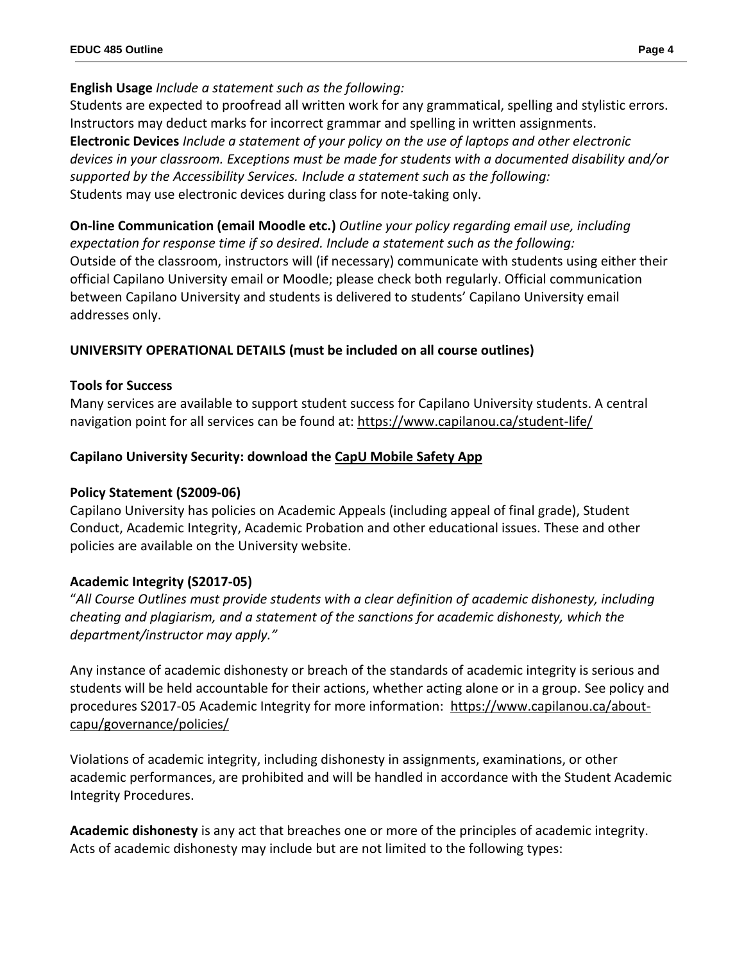# **English Usage** *Include a statement such as the following:*

Students are expected to proofread all written work for any grammatical, spelling and stylistic errors. Instructors may deduct marks for incorrect grammar and spelling in written assignments. **Electronic Devices** *Include a statement of your policy on the use of laptops and other electronic devices in your classroom. Exceptions must be made for students with a documented disability and/or supported by the Accessibility Services. Include a statement such as the following:* Students may use electronic devices during class for note-taking only.

**On-line Communication (email Moodle etc.)** *Outline your policy regarding email use, including expectation for response time if so desired. Include a statement such as the following:* Outside of the classroom, instructors will (if necessary) communicate with students using either their official Capilano University email or Moodle; please check both regularly. Official communication between Capilano University and students is delivered to students' Capilano University email addresses only.

# **UNIVERSITY OPERATIONAL DETAILS (must be included on all course outlines)**

## **Tools for Success**

Many services are available to support student success for Capilano University students. A central navigation point for all services can be found at:<https://www.capilanou.ca/student-life/>

# **Capilano University Security: download the [CapU Mobile Safety App](https://www.capilanou.ca/student-life/support--wellness/safety--security/capu-safe-app/)**

# **Policy Statement (S2009-06)**

Capilano University has policies on Academic Appeals (including appeal of final grade), Student Conduct, Academic Integrity, Academic Probation and other educational issues. These and other policies are available on the University website.

# **Academic Integrity (S2017-05)**

"*All Course Outlines must provide students with a clear definition of academic dishonesty, including cheating and plagiarism, and a statement of the sanctions for academic dishonesty, which the department/instructor may apply."*

Any instance of academic dishonesty or breach of the standards of academic integrity is serious and students will be held accountable for their actions, whether acting alone or in a group. See policy and procedures S2017-05 Academic Integrity for more information: [https://www.capilanou.ca/about](https://www.capilanou.ca/about-capu/governance/policies/)[capu/governance/policies/](https://www.capilanou.ca/about-capu/governance/policies/)

Violations of academic integrity, including dishonesty in assignments, examinations, or other academic performances, are prohibited and will be handled in accordance with the Student Academic Integrity Procedures.

**Academic dishonesty** is any act that breaches one or more of the principles of academic integrity. Acts of academic dishonesty may include but are not limited to the following types: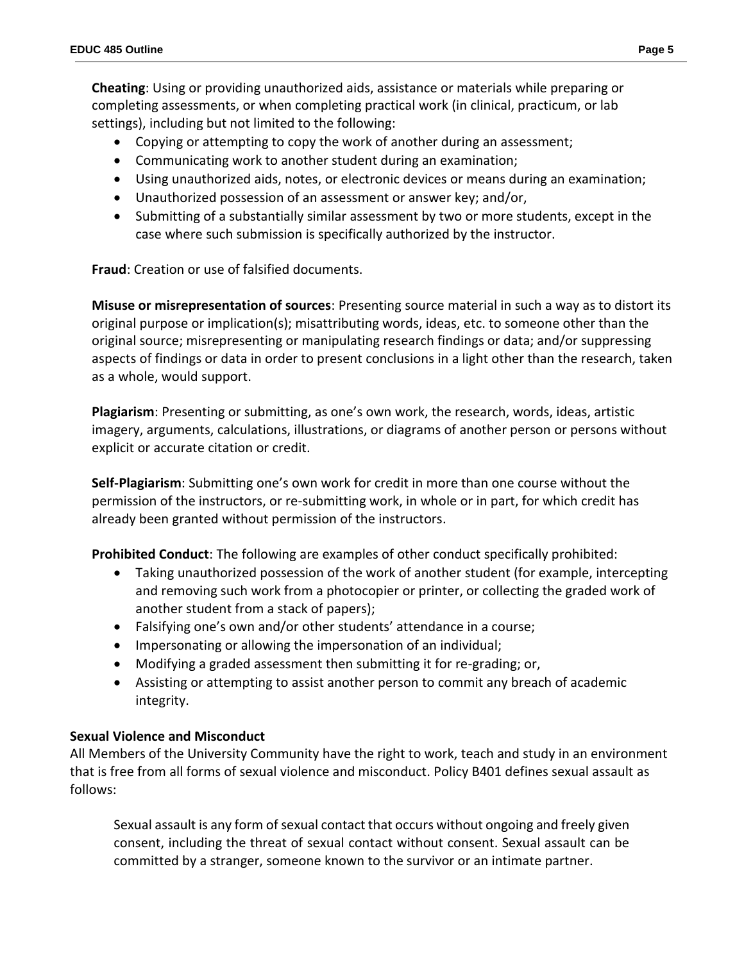**Cheating**: Using or providing unauthorized aids, assistance or materials while preparing or completing assessments, or when completing practical work (in clinical, practicum, or lab settings), including but not limited to the following:

- Copying or attempting to copy the work of another during an assessment;
- Communicating work to another student during an examination;
- Using unauthorized aids, notes, or electronic devices or means during an examination;
- Unauthorized possession of an assessment or answer key; and/or,
- Submitting of a substantially similar assessment by two or more students, except in the case where such submission is specifically authorized by the instructor.

**Fraud**: Creation or use of falsified documents.

**Misuse or misrepresentation of sources**: Presenting source material in such a way as to distort its original purpose or implication(s); misattributing words, ideas, etc. to someone other than the original source; misrepresenting or manipulating research findings or data; and/or suppressing aspects of findings or data in order to present conclusions in a light other than the research, taken as a whole, would support.

**Plagiarism**: Presenting or submitting, as one's own work, the research, words, ideas, artistic imagery, arguments, calculations, illustrations, or diagrams of another person or persons without explicit or accurate citation or credit.

**Self-Plagiarism**: Submitting one's own work for credit in more than one course without the permission of the instructors, or re-submitting work, in whole or in part, for which credit has already been granted without permission of the instructors.

**Prohibited Conduct**: The following are examples of other conduct specifically prohibited:

- Taking unauthorized possession of the work of another student (for example, intercepting and removing such work from a photocopier or printer, or collecting the graded work of another student from a stack of papers);
- Falsifying one's own and/or other students' attendance in a course;
- Impersonating or allowing the impersonation of an individual;
- Modifying a graded assessment then submitting it for re-grading; or,
- Assisting or attempting to assist another person to commit any breach of academic integrity.

## **Sexual Violence and Misconduct**

All Members of the University Community have the right to work, teach and study in an environment that is free from all forms of sexual violence and misconduct. Policy B401 defines sexual assault as follows:

Sexual assault is any form of sexual contact that occurs without ongoing and freely given consent, including the threat of sexual contact without consent. Sexual assault can be committed by a stranger, someone known to the survivor or an intimate partner.